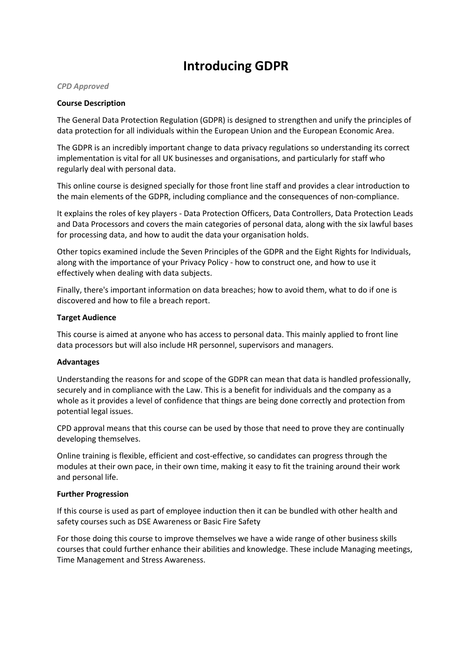# **Introducing GDPR**

#### *CPD Approved*

## **Course Description**

The General Data Protection Regulation (GDPR) is designed to strengthen and unify the principles of data protection for all individuals within the European Union and the European Economic Area.

The GDPR is an incredibly important change to data privacy regulations so understanding its correct implementation is vital for all UK businesses and organisations, and particularly for staff who regularly deal with personal data.

This online course is designed specially for those front line staff and provides a clear introduction to the main elements of the GDPR, including compliance and the consequences of non-compliance.

It explains the roles of key players - Data Protection Officers, Data Controllers, Data Protection Leads and Data Processors and covers the main categories of personal data, along with the six lawful bases for processing data, and how to audit the data your organisation holds.

Other topics examined include the Seven Principles of the GDPR and the Eight Rights for Individuals, along with the importance of your Privacy Policy - how to construct one, and how to use it effectively when dealing with data subjects.

Finally, there's important information on data breaches; how to avoid them, what to do if one is discovered and how to file a breach report.

#### **Target Audience**

This course is aimed at anyone who has access to personal data. This mainly applied to front line data processors but will also include HR personnel, supervisors and managers.

## **Advantages**

Understanding the reasons for and scope of the GDPR can mean that data is handled professionally, securely and in compliance with the Law. This is a benefit for individuals and the company as a whole as it provides a level of confidence that things are being done correctly and protection from potential legal issues.

CPD approval means that this course can be used by those that need to prove they are continually developing themselves.

Online training is flexible, efficient and cost-effective, so candidates can progress through the modules at their own pace, in their own time, making it easy to fit the training around their work and personal life.

#### **Further Progression**

If this course is used as part of employee induction then it can be bundled with other health and safety courses such as DSE Awareness or Basic Fire Safety

For those doing this course to improve themselves we have a wide range of other business skills courses that could further enhance their abilities and knowledge. These include Managing meetings, Time Management and Stress Awareness.